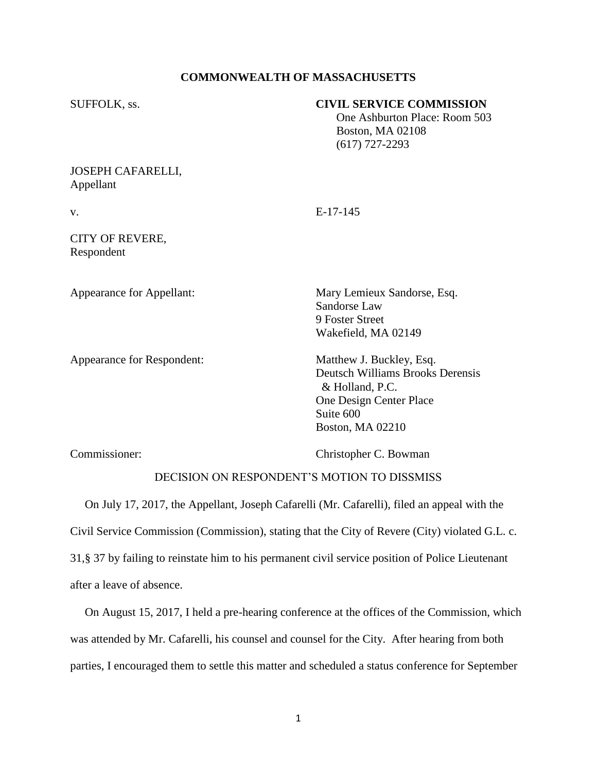# **COMMONWEALTH OF MASSACHUSETTS**

| SUFFOLK, ss.                                                                                   | <b>CIVIL SERVICE COMMISSION</b><br>One Ashburton Place: Room 503<br>Boston, MA 02108<br>$(617)$ 727-2293                                                  |
|------------------------------------------------------------------------------------------------|-----------------------------------------------------------------------------------------------------------------------------------------------------------|
| <b>JOSEPH CAFARELLI,</b><br>Appellant                                                          |                                                                                                                                                           |
| V.                                                                                             | $E-17-145$                                                                                                                                                |
| CITY OF REVERE,<br>Respondent                                                                  |                                                                                                                                                           |
| Appearance for Appellant:                                                                      | Mary Lemieux Sandorse, Esq.<br>Sandorse Law<br>9 Foster Street<br>Wakefield, MA 02149                                                                     |
| Appearance for Respondent:                                                                     | Matthew J. Buckley, Esq.<br><b>Deutsch Williams Brooks Derensis</b><br>& Holland, P.C.<br>One Design Center Place<br>Suite 600<br><b>Boston, MA 02210</b> |
| Commissioner:                                                                                  | Christopher C. Bowman                                                                                                                                     |
| DECISION ON RESPONDENT'S MOTION TO DISSMISS                                                    |                                                                                                                                                           |
| On July 17, 2017, the Appellant, Joseph Cafarelli (Mr. Cafarelli), filed an appeal with the    |                                                                                                                                                           |
| Civil Service Commission (Commission), stating that the City of Revere (City) violated G.L. c. |                                                                                                                                                           |

31,§ 37 by failing to reinstate him to his permanent civil service position of Police Lieutenant after a leave of absence.

 On August 15, 2017, I held a pre-hearing conference at the offices of the Commission, which was attended by Mr. Cafarelli, his counsel and counsel for the City. After hearing from both parties, I encouraged them to settle this matter and scheduled a status conference for September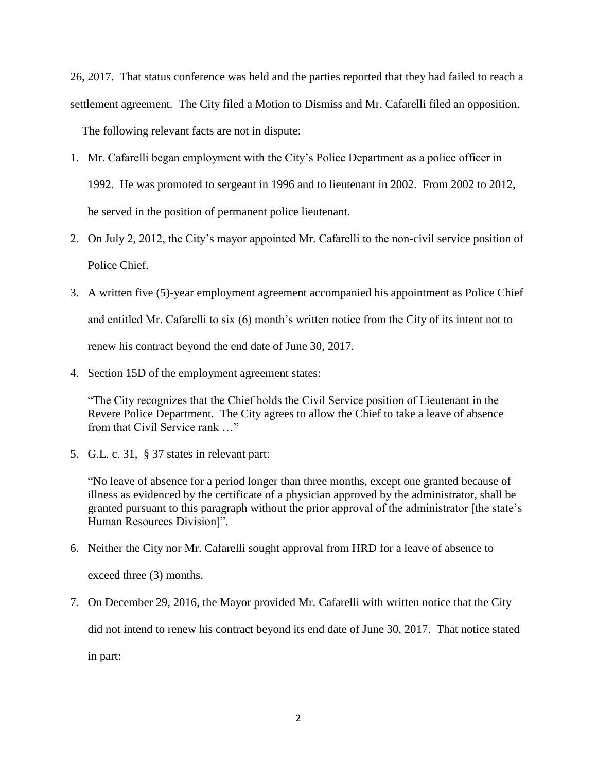26, 2017. That status conference was held and the parties reported that they had failed to reach a settlement agreement. The City filed a Motion to Dismiss and Mr. Cafarelli filed an opposition. The following relevant facts are not in dispute:

- 1. Mr. Cafarelli began employment with the City's Police Department as a police officer in 1992. He was promoted to sergeant in 1996 and to lieutenant in 2002. From 2002 to 2012, he served in the position of permanent police lieutenant.
- 2. On July 2, 2012, the City's mayor appointed Mr. Cafarelli to the non-civil service position of Police Chief.
- 3. A written five (5)-year employment agreement accompanied his appointment as Police Chief and entitled Mr. Cafarelli to six (6) month's written notice from the City of its intent not to renew his contract beyond the end date of June 30, 2017.
- 4. Section 15D of the employment agreement states:

"The City recognizes that the Chief holds the Civil Service position of Lieutenant in the Revere Police Department. The City agrees to allow the Chief to take a leave of absence from that Civil Service rank …"

5. G.L. c. 31, § 37 states in relevant part:

"No leave of absence for a period longer than three months, except one granted because of illness as evidenced by the certificate of a physician approved by the administrator, shall be granted pursuant to this paragraph without the prior approval of the administrator [the state's Human Resources Division]".

- 6. Neither the City nor Mr. Cafarelli sought approval from HRD for a leave of absence to exceed three (3) months.
- 7. On December 29, 2016, the Mayor provided Mr. Cafarelli with written notice that the City

did not intend to renew his contract beyond its end date of June 30, 2017. That notice stated

in part: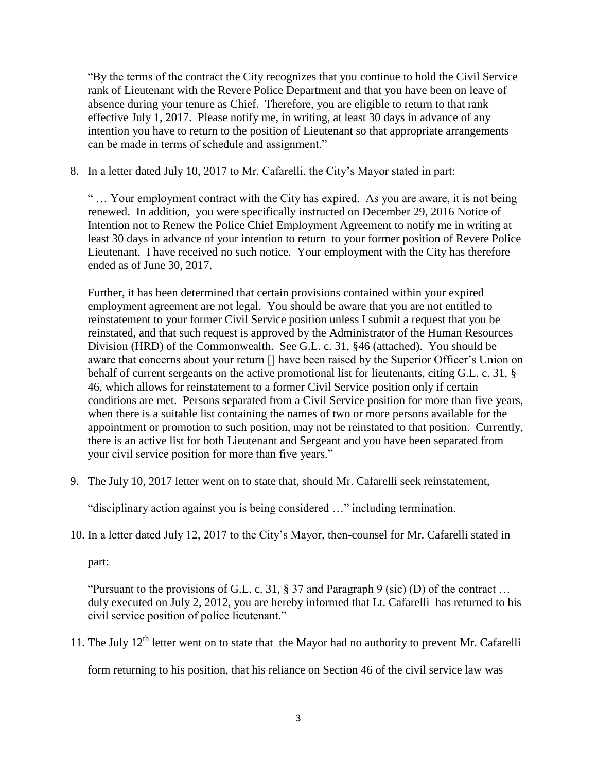"By the terms of the contract the City recognizes that you continue to hold the Civil Service rank of Lieutenant with the Revere Police Department and that you have been on leave of absence during your tenure as Chief. Therefore, you are eligible to return to that rank effective July 1, 2017. Please notify me, in writing, at least 30 days in advance of any intention you have to return to the position of Lieutenant so that appropriate arrangements can be made in terms of schedule and assignment."

8. In a letter dated July 10, 2017 to Mr. Cafarelli, the City's Mayor stated in part:

" … Your employment contract with the City has expired. As you are aware, it is not being renewed. In addition, you were specifically instructed on December 29, 2016 Notice of Intention not to Renew the Police Chief Employment Agreement to notify me in writing at least 30 days in advance of your intention to return to your former position of Revere Police Lieutenant. I have received no such notice. Your employment with the City has therefore ended as of June 30, 2017.

Further, it has been determined that certain provisions contained within your expired employment agreement are not legal. You should be aware that you are not entitled to reinstatement to your former Civil Service position unless I submit a request that you be reinstated, and that such request is approved by the Administrator of the Human Resources Division (HRD) of the Commonwealth. See G.L. c. 31, §46 (attached). You should be aware that concerns about your return [] have been raised by the Superior Officer's Union on behalf of current sergeants on the active promotional list for lieutenants, citing G.L. c. 31, § 46, which allows for reinstatement to a former Civil Service position only if certain conditions are met. Persons separated from a Civil Service position for more than five years, when there is a suitable list containing the names of two or more persons available for the appointment or promotion to such position, may not be reinstated to that position. Currently, there is an active list for both Lieutenant and Sergeant and you have been separated from your civil service position for more than five years."

9. The July 10, 2017 letter went on to state that, should Mr. Cafarelli seek reinstatement,

"disciplinary action against you is being considered …" including termination.

10. In a letter dated July 12, 2017 to the City's Mayor, then-counsel for Mr. Cafarelli stated in

part:

"Pursuant to the provisions of G.L. c. 31,  $\S 37$  and Paragraph 9 (sic) (D) of the contract ... duly executed on July 2, 2012, you are hereby informed that Lt. Cafarelli has returned to his civil service position of police lieutenant."

11. The July  $12<sup>th</sup>$  letter went on to state that the Mayor had no authority to prevent Mr. Cafarelli

form returning to his position, that his reliance on Section 46 of the civil service law was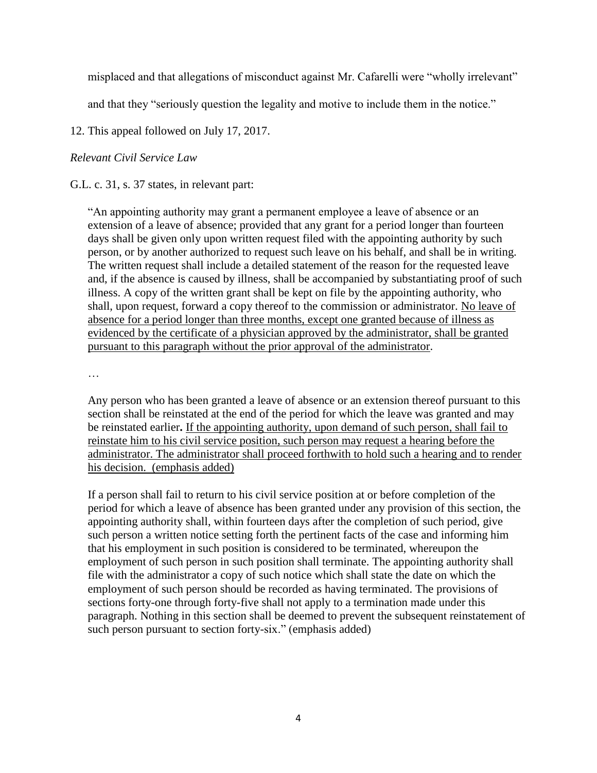misplaced and that allegations of misconduct against Mr. Cafarelli were "wholly irrelevant"

and that they "seriously question the legality and motive to include them in the notice."

12. This appeal followed on July 17, 2017.

## *Relevant Civil Service Law*

G.L. c. 31, s. 37 states, in relevant part:

"An appointing authority may grant a permanent employee a leave of absence or an extension of a leave of absence; provided that any grant for a period longer than fourteen days shall be given only upon written request filed with the appointing authority by such person, or by another authorized to request such leave on his behalf, and shall be in writing. The written request shall include a detailed statement of the reason for the requested leave and, if the absence is caused by illness, shall be accompanied by substantiating proof of such illness. A copy of the written grant shall be kept on file by the appointing authority, who shall, upon request, forward a copy thereof to the commission or administrator. No leave of absence for a period longer than three months, except one granted because of illness as evidenced by the certificate of a physician approved by the administrator, shall be granted pursuant to this paragraph without the prior approval of the administrator.

…

Any person who has been granted a leave of absence or an extension thereof pursuant to this section shall be reinstated at the end of the period for which the leave was granted and may be reinstated earlier**.** If the appointing authority, upon demand of such person, shall fail to reinstate him to his civil service position, such person may request a hearing before the administrator. The administrator shall proceed forthwith to hold such a hearing and to render his decision. (emphasis added)

If a person shall fail to return to his civil service position at or before completion of the period for which a leave of absence has been granted under any provision of this section, the appointing authority shall, within fourteen days after the completion of such period, give such person a written notice setting forth the pertinent facts of the case and informing him that his employment in such position is considered to be terminated, whereupon the employment of such person in such position shall terminate. The appointing authority shall file with the administrator a copy of such notice which shall state the date on which the employment of such person should be recorded as having terminated. The provisions of sections forty-one through forty-five shall not apply to a termination made under this paragraph. Nothing in this section shall be deemed to prevent the subsequent reinstatement of such person pursuant to section forty-six." (emphasis added)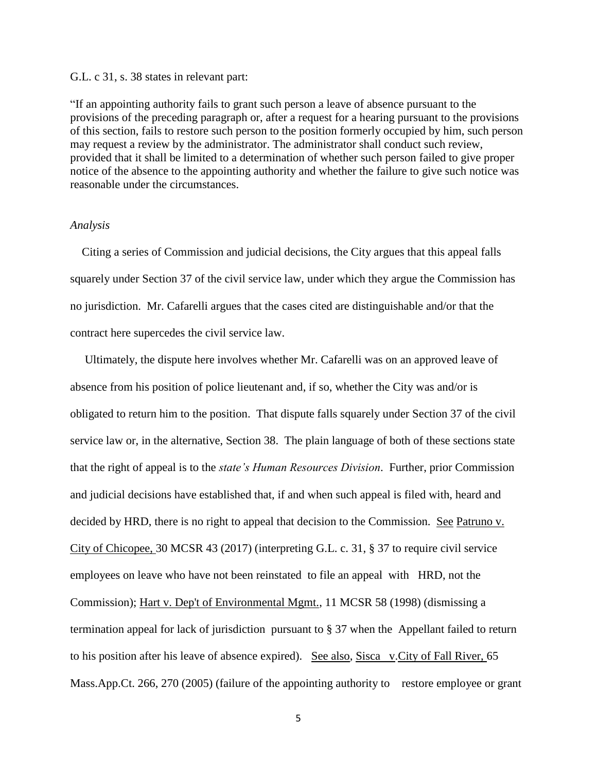#### G.L. c 31, s. 38 states in relevant part:

"If an appointing authority fails to grant such person a leave of absence pursuant to the provisions of the preceding paragraph or, after a request for a hearing pursuant to the provisions of this section, fails to restore such person to the position formerly occupied by him, such person may request a review by the administrator. The administrator shall conduct such review, provided that it shall be limited to a determination of whether such person failed to give proper notice of the absence to the appointing authority and whether the failure to give such notice was reasonable under the circumstances.

#### *Analysis*

 Citing a series of Commission and judicial decisions, the City argues that this appeal falls squarely under Section 37 of the civil service law, under which they argue the Commission has no jurisdiction. Mr. Cafarelli argues that the cases cited are distinguishable and/or that the contract here supercedes the civil service law.

 Ultimately, the dispute here involves whether Mr. Cafarelli was on an approved leave of absence from his position of police lieutenant and, if so, whether the City was and/or is obligated to return him to the position. That dispute falls squarely under Section 37 of the civil service law or, in the alternative, Section 38. The plain language of both of these sections state that the right of appeal is to the *state's Human Resources Division*. Further, prior Commission and judicial decisions have established that, if and when such appeal is filed with, heard and decided by HRD, there is no right to appeal that decision to the Commission. See Patruno v. City of Chicopee, 30 MCSR 43 (2017) (interpreting G.L. c. 31, § 37 to require civil service employees on leave who have not been reinstated to file an appeal with HRD, not the Commission); Hart v. Dep't of Environmental Mgmt., 11 MCSR 58 (1998) (dismissing a termination appeal for lack of jurisdiction pursuant to § 37 when the Appellant failed to return to his position after his leave of absence expired). See also, Sisca v.City of Fall River, 65 Mass.App.Ct. 266, 270 (2005) (failure of the appointing authority to restore employee or grant